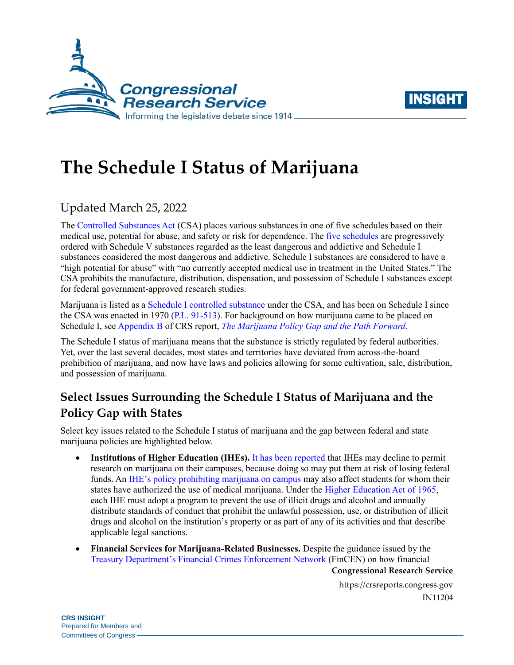



# **The Schedule I Status of Marijuana**

## Updated March 25, 2022

The [Controlled Substances Act](https://crsreports.congress.gov/product/pdf/R/R45948) (CSA) places various substances in one of five schedules based on their medical use, potential for abuse, and safety or risk for dependence. The [five schedules](https://uscode.house.gov/view.xhtml?req=granuleid:USC-prelim-title21-section812&num=0&edition=prelim) are progressively ordered with Schedule V substances regarded as the least dangerous and addictive and Schedule I substances considered the most dangerous and addictive. Schedule I substances are considered to have a "high potential for abuse" with "no currently accepted medical use in treatment in the United States." The CSA prohibits the manufacture, distribution, dispensation, and possession of Schedule I substances except for federal government-approved research studies.

Marijuana is listed as a [Schedule I controlled substance](https://uscode.house.gov/view.xhtml?req=granuleid:USC-prelim-title21-section812&num=0&edition=prelim) under the CSA, and has been on Schedule I since the CSA was enacted in 1970 [\(P.L. 91-513\)](https://www.govinfo.gov/content/pkg/STATUTE-84/pdf/STATUTE-84-Pg1236.pdf#page=7). For background on how marijuana came to be placed on Schedule I, se[e Appendix B](https://crsreports.congress.gov/product/pdf/R/R44782#_Toc477191639) of CRS report, *[The Marijuana Policy Gap and the Path Forward.](https://crsreports.congress.gov/product/pdf/R/R44782)*

The Schedule I status of marijuana means that the substance is strictly regulated by federal authorities. Yet, over the last several decades, most states and territories have deviated from across-the-board prohibition of marijuana, and now have laws and policies allowing for some cultivation, sale, distribution, and possession of marijuana.

## **Select Issues Surrounding the Schedule I Status of Marijuana and the Policy Gap with States**

Select key issues related to the Schedule I status of marijuana and the gap between federal and state marijuana policies are highlighted below.

- **Institutions of Higher Education (IHEs).** [It has been reported](https://www.thelantern.com/2017/08/risk-of-losing-federal-funding-reason-why-medical-marijuana-research-wont-happen/) that IHEs may decline to permit research on marijuana on their campuses, because doing so may put them at risk of losing federal funds. An [IHE's policy prohibiting marijuana on campus](https://www.eiu.edu/ihec/Marijuana%20and%20DFSCA.pdf) may also affect students for whom their states have authorized the use of medical marijuana. Under the [Higher Education Act](https://crsreports.congress.gov/product/pdf/R/R43351) of 1965, each IHE must adopt a program to prevent the use of illicit drugs and alcohol and annually distribute standards of conduct that prohibit the unlawful possession, use, or distribution of illicit drugs and alcohol on the institution's property or as part of any of its activities and that describe applicable legal sanctions.
- **Financial Services for Marijuana-Related Businesses.** Despite the guidance issued by the [Treasury Department's Financial Crimes Enforcement Network](https://www.fincen.gov/sites/default/files/shared/FIN-2014-G001.pdf) (FinCEN) on how financial

**Congressional Research Service**

https://crsreports.congress.gov IN11204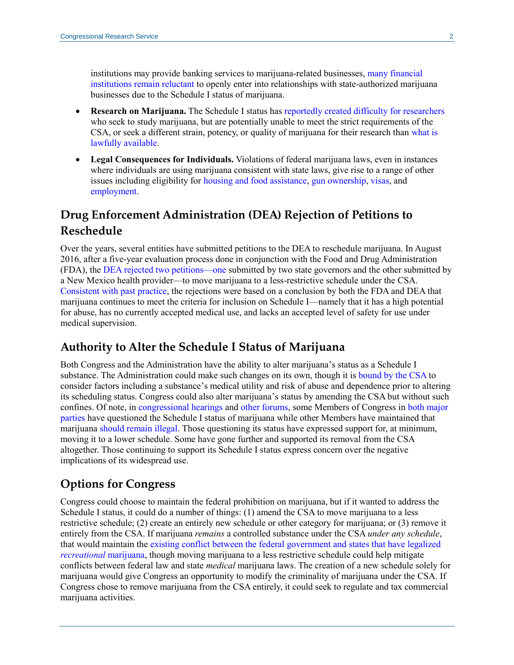institutions may provide banking services to marijuana-related businesses[, many financial](https://www.forbes.com/sites/kevinmurphy/2018/09/06/legal-marijuana-the-9-billion-industry-that-most-banks-wont-touch/#4f7e1c8b3c68)  [institutions remain reluctant](https://www.forbes.com/sites/kevinmurphy/2018/09/06/legal-marijuana-the-9-billion-industry-that-most-banks-wont-touch/#4f7e1c8b3c68) to openly enter into relationships with state-authorized marijuana businesses due to the Schedule I status of marijuana.

- **Research on Marijuana.** The Schedule I status has [reportedly created difficulty for researchers](https://www.fdli.org/2019/09/food-and-drug-law-journal-symposium-spotlight-cannabis-clinical-investigations-in-colorado-2019/) who seek to study marijuana, but are potentially unable to meet the strict requirements of the CSA, or seek a different strain, potency, or quality of marijuana for their research than [what is](https://www.deadiversion.usdoj.gov/drugreg/marihuana.htm)  [lawfully available.](https://www.deadiversion.usdoj.gov/drugreg/marihuana.htm)
- **Legal Consequences for Individuals.** Violations of federal marijuana laws, even in instances where individuals are using marijuana consistent with state laws, give rise to a range of other issues including eligibility for [housing and food assistance,](https://crsreports.congress.gov/product/pdf/R/R42394) [gun ownership,](https://www.atf.gov/firearms/identify-prohibited-persons) [visas,](https://travel.state.gov/content/travel/en/us-visas/visa-information-resources/waivers.html) and [employment.](https://www.ncsl.org/research/labor-and-employment/cannabis-employment-laws.aspx)

### **Drug Enforcement Administration (DEA) Rejection of Petitions to Reschedule**

Over the years, several entities have submitted petitions to the DEA to reschedule marijuana. In August 2016, after a five-year evaluation process done in conjunction with the Food and Drug Administration (FDA), the [DEA rejected two petitions—](https://www.dea.gov/press-releases/2016/08/11/dea-announces-actions-related-marijuana-and-industrial-hemp)one submitted by two state governors and the other submitted by a New Mexico health provider—to move marijuana to a less-restrictive schedule under the CSA. [Consistent with past practice,](https://www.federalregister.gov/documents/2011/07/08/2011-16994/denial-of-petition-to-initiate-proceedings-to-reschedule-marijuana) the rejections were based on a conclusion by both the FDA and DEA that marijuana continues to meet the criteria for inclusion on Schedule I—namely that it has a high potential for abuse, has no currently accepted medical use, and lacks an accepted level of safety for use under medical supervision.

#### **Authority to Alter the Schedule I Status of Marijuana**

Both Congress and the Administration have the ability to alter marijuana's status as a Schedule I substance. The Administration could make such changes on its own, though it is [bound by the CSA](https://uscode.house.gov/view.xhtml?req=granuleid:USC-prelim-title21-section811&num=0&edition=prelim) to consider factors including a substance's medical utility and risk of abuse and dependence prior to altering its scheduling status. Congress could also alter marijuana's status by amending the CSA but without such confines. Of note, in [congressional hearings](https://www.govinfo.gov/content/pkg/CHRG-115hhrg27603/html/CHRG-115hhrg27603.htm) an[d other forums,](https://www.usnews.com/news/articles/2014/02/12/18-congressmen-ask-obama-to-reschedule-marijuana) some Members of Congress in [both major](https://judiciary.house.gov/legislation/markups/hr-5038-farm-workforce-modernization-act-2019-hr-3884-marijuana-opportunity)  [parties](https://judiciary.house.gov/legislation/markups/hr-5038-farm-workforce-modernization-act-2019-hr-3884-marijuana-opportunity) have questioned the Schedule I status of marijuana while other Members have maintained that marijuan[a should remain illegal.](https://thehill.com/homenews/senate/386791-mcconnell-i-wont-support-legalizing-marijuana) Those questioning its status have expressed support for, at minimum, moving it to a lower schedule. Some have gone further and supported its removal from the CSA altogether. Those continuing to support its Schedule I status express concern over the negative implications of its widespread use.

#### **Options for Congress**

Congress could choose to maintain the federal prohibition on marijuana, but if it wanted to address the Schedule I status, it could do a number of things: (1) amend the CSA to move marijuana to a less restrictive schedule; (2) create an entirely new schedule or other category for marijuana; or (3) remove it entirely from the CSA. If marijuana *remains* a controlled substance under the CSA *under any schedule*, that would maintain the [existing conflict between the federal government and states that have legalized](https://crsreports.congress.gov/product/pdf/R/R44782)  *[recreational](https://crsreports.congress.gov/product/pdf/R/R44782)* marijuana, though moving marijuana to a less restrictive schedule could help mitigate conflicts between federal law and state *medical* marijuana laws. The creation of a new schedule solely for marijuana would give Congress an opportunity to modify the criminality of marijuana under the CSA. If Congress chose to remove marijuana from the CSA entirely, it could seek to regulate and tax commercial marijuana activities.